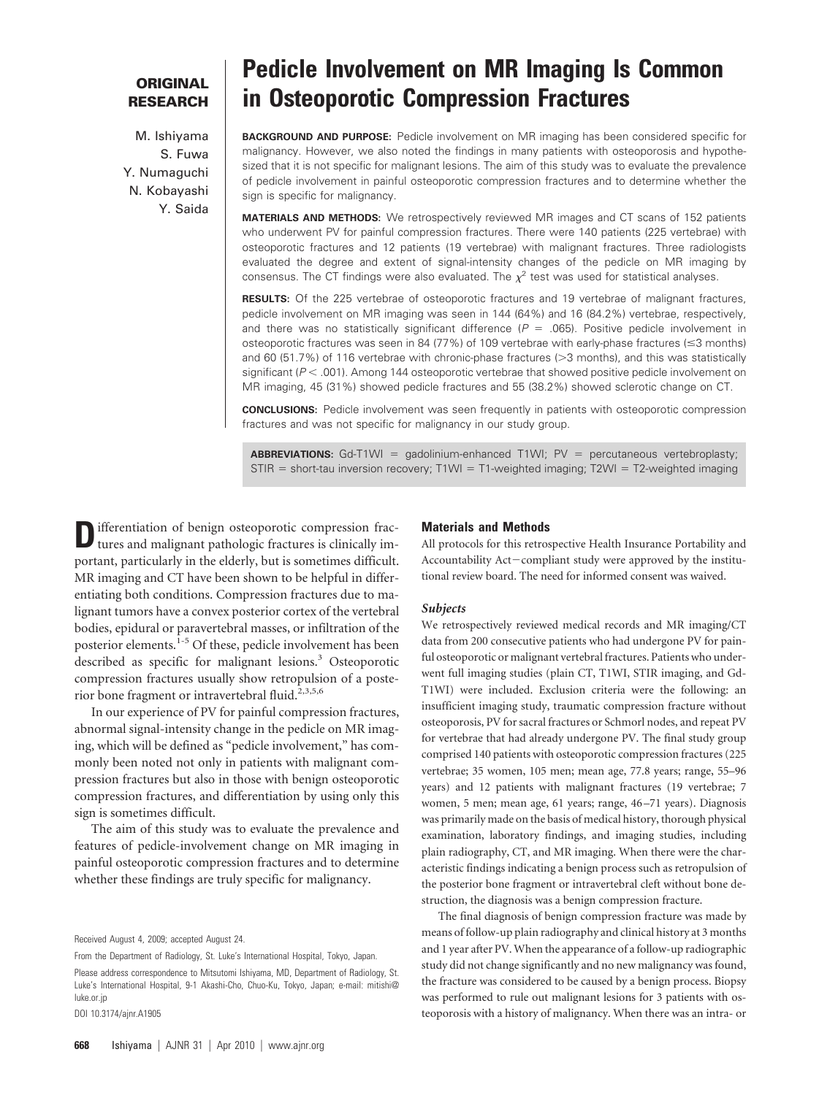# **ORIGINAL RESEARCH**

M. Ishiyama S. Fuwa Y. Numaguchi N. Kobayashi Y. Saida

# **Pedicle Involvement on MR Imaging Is Common in Osteoporotic Compression Fractures**

**BACKGROUND AND PURPOSE:** Pedicle involvement on MR imaging has been considered specific for malignancy. However, we also noted the findings in many patients with osteoporosis and hypothesized that it is not specific for malignant lesions. The aim of this study was to evaluate the prevalence of pedicle involvement in painful osteoporotic compression fractures and to determine whether the sign is specific for malignancy.

**MATERIALS AND METHODS:** We retrospectively reviewed MR images and CT scans of 152 patients who underwent PV for painful compression fractures. There were 140 patients (225 vertebrae) with osteoporotic fractures and 12 patients (19 vertebrae) with malignant fractures. Three radiologists evaluated the degree and extent of signal-intensity changes of the pedicle on MR imaging by consensus. The CT findings were also evaluated. The  $\chi^2$  test was used for statistical analyses.

**RESULTS:** Of the 225 vertebrae of osteoporotic fractures and 19 vertebrae of malignant fractures, pedicle involvement on MR imaging was seen in 144 (64%) and 16 (84.2%) vertebrae, respectively, and there was no statistically significant difference  $(P = .065)$ . Positive pedicle involvement in osteoporotic fractures was seen in 84 (77%) of 109 vertebrae with early-phase fractures ( $\leq$ 3 months) and 60 (51.7%) of 116 vertebrae with chronic-phase fractures (>3 months), and this was statistically significant ( $P < .001$ ). Among 144 osteoporotic vertebrae that showed positive pedicle involvement on MR imaging, 45 (31%) showed pedicle fractures and 55 (38.2%) showed sclerotic change on CT.

**CONCLUSIONS:** Pedicle involvement was seen frequently in patients with osteoporotic compression fractures and was not specific for malignancy in our study group.

**ABBREVIATIONS:** Gd-T1WI = gadolinium-enhanced T1WI; PV = percutaneous vertebroplasty;  $STIR = short-tau$  inversion recovery; T1WI = T1-weighted imaging; T2WI = T2-weighted imaging

**D**ifferentiation of benign osteoporotic compression frac-tures and malignant pathologic fractures is clinically important, particularly in the elderly, but is sometimes difficult. MR imaging and CT have been shown to be helpful in differentiating both conditions. Compression fractures due to malignant tumors have a convex posterior cortex of the vertebral bodies, epidural or paravertebral masses, or infiltration of the posterior elements.<sup>1-5</sup> Of these, pedicle involvement has been described as specific for malignant lesions.<sup>3</sup> Osteoporotic compression fractures usually show retropulsion of a posterior bone fragment or intravertebral fluid.<sup>2,3,5,6</sup>

In our experience of PV for painful compression fractures, abnormal signal-intensity change in the pedicle on MR imaging, which will be defined as "pedicle involvement," has commonly been noted not only in patients with malignant compression fractures but also in those with benign osteoporotic compression fractures, and differentiation by using only this sign is sometimes difficult.

The aim of this study was to evaluate the prevalence and features of pedicle-involvement change on MR imaging in painful osteoporotic compression fractures and to determine whether these findings are truly specific for malignancy.

From the Department of Radiology, St. Luke's International Hospital, Tokyo, Japan. Please address correspondence to Mitsutomi Ishiyama, MD, Department of Radiology, St. Luke's International Hospital, 9-1 Akashi-Cho, Chuo-Ku, Tokyo, Japan; e-mail: mitishi@ luke.or.jp

DOI 10.3174/ajnr.A1905

# **Materials and Methods**

All protocols for this retrospective Health Insurance Portability and Accountability Act-compliant study were approved by the institutional review board. The need for informed consent was waived.

#### *Subjects*

We retrospectively reviewed medical records and MR imaging/CT data from 200 consecutive patients who had undergone PV for painful osteoporotic or malignant vertebral fractures. Patients who underwent full imaging studies (plain CT, T1WI, STIR imaging, and Gd-T1WI) were included. Exclusion criteria were the following: an insufficient imaging study, traumatic compression fracture without osteoporosis, PV for sacral fractures or Schmorl nodes, and repeat PV for vertebrae that had already undergone PV. The final study group comprised 140 patients with osteoporotic compression fractures (225 vertebrae; 35 women, 105 men; mean age, 77.8 years; range, 55–96 years) and 12 patients with malignant fractures (19 vertebrae; 7 women, 5 men; mean age, 61 years; range, 46 –71 years). Diagnosis was primarily made on the basis of medical history, thorough physical examination, laboratory findings, and imaging studies, including plain radiography, CT, and MR imaging. When there were the characteristic findings indicating a benign process such as retropulsion of the posterior bone fragment or intravertebral cleft without bone destruction, the diagnosis was a benign compression fracture.

The final diagnosis of benign compression fracture was made by means of follow-up plain radiography and clinical history at 3 months and 1 year after PV. When the appearance of a follow-up radiographic study did not change significantly and no new malignancy was found, the fracture was considered to be caused by a benign process. Biopsy was performed to rule out malignant lesions for 3 patients with osteoporosis with a history of malignancy. When there was an intra- or

Received August 4, 2009; accepted August 24.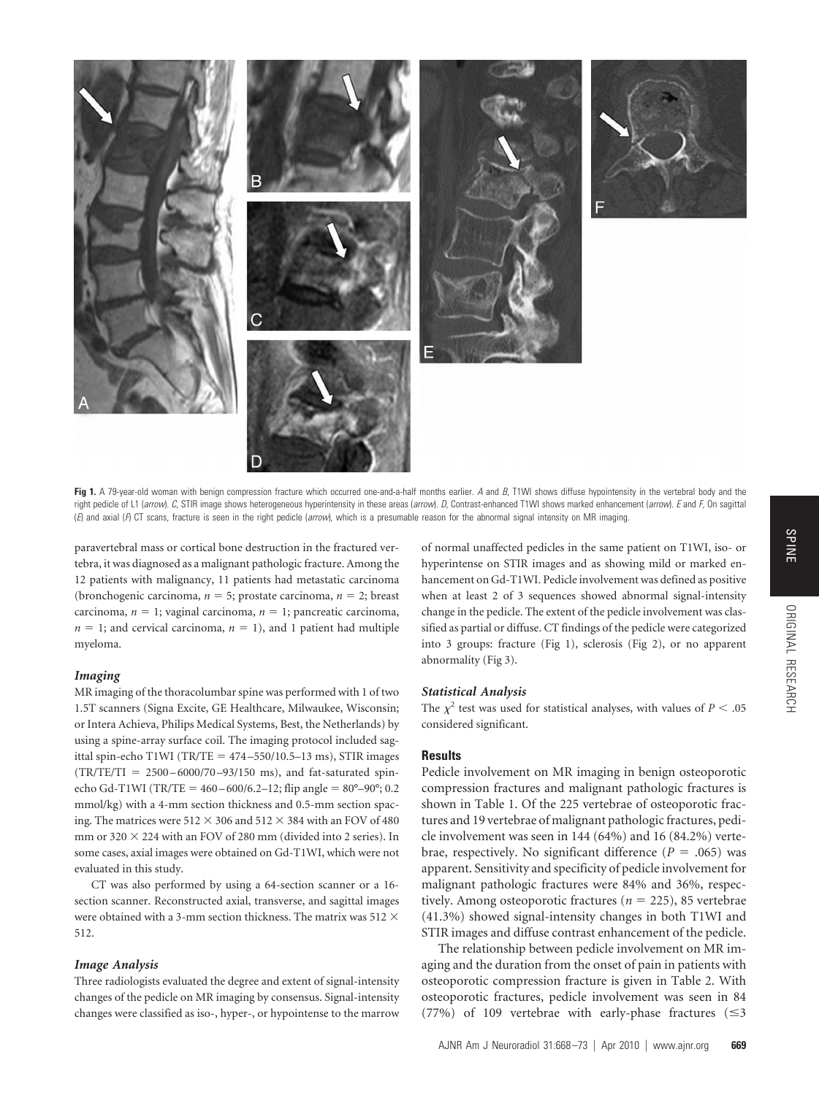

Fig 1. A 79-year-old woman with benign compression fracture which occurred one-and-a-half months earlier. A and *B*, T1WI shows diffuse hypointensity in the vertebral body and the right pedicle of L1 (arrow). C, STIR image shows heterogeneous hyperintensity in these areas (arrow). D, Contrast-enhanced T1WI shows marked enhancement (arrow). E and F, On sagittal (*E*) and axial (*F*) CT scans, fracture is seen in the right pedicle (*arrow*), which is a presumable reason for the abnormal signal intensity on MR imaging.

paravertebral mass or cortical bone destruction in the fractured vertebra, it was diagnosed as a malignant pathologic fracture. Among the 12 patients with malignancy, 11 patients had metastatic carcinoma (bronchogenic carcinoma,  $n = 5$ ; prostate carcinoma,  $n = 2$ ; breast carcinoma,  $n = 1$ ; vaginal carcinoma,  $n = 1$ ; pancreatic carcinoma,  $n = 1$ ; and cervical carcinoma,  $n = 1$ ), and 1 patient had multiple myeloma.

# *Imaging*

MR imaging of the thoracolumbar spine was performed with 1 of two 1.5T scanners (Signa Excite, GE Healthcare, Milwaukee, Wisconsin; or Intera Achieva, Philips Medical Systems, Best, the Netherlands) by using a spine-array surface coil. The imaging protocol included sagittal spin-echo T1WI (TR/TE =  $474 - 550/10.5 - 13$  ms), STIR images  $(TR/TE/TI = 2500-6000/70-93/150$  ms), and fat-saturated spinecho Gd-T1WI (TR/TE =  $460 - 600/6.2 - 12$ ; flip angle =  $80^{\circ} - 90^{\circ}$ ; 0.2 mmol/kg) with a 4-mm section thickness and 0.5-mm section spacing. The matrices were 512  $\times$  306 and 512  $\times$  384 with an FOV of 480 mm or 320  $\times$  224 with an FOV of 280 mm (divided into 2 series). In some cases, axial images were obtained on Gd-T1WI, which were not evaluated in this study.

CT was also performed by using a 64-section scanner or a 16 section scanner. Reconstructed axial, transverse, and sagittal images were obtained with a 3-mm section thickness. The matrix was 512  $\times$ 512.

# *Image Analysis*

Three radiologists evaluated the degree and extent of signal-intensity changes of the pedicle on MR imaging by consensus. Signal-intensity changes were classified as iso-, hyper-, or hypointense to the marrow

of normal unaffected pedicles in the same patient on T1WI, iso- or hyperintense on STIR images and as showing mild or marked enhancement on Gd-T1WI. Pedicle involvement was defined as positive when at least 2 of 3 sequences showed abnormal signal-intensity change in the pedicle. The extent of the pedicle involvement was classified as partial or diffuse. CT findings of the pedicle were categorized into 3 groups: fracture (Fig 1), sclerosis (Fig 2), or no apparent abnormality (Fig 3).

#### *Statistical Analysis*

The  $\chi^2$  test was used for statistical analyses, with values of *P* < .05 considered significant.

#### **Results**

Pedicle involvement on MR imaging in benign osteoporotic compression fractures and malignant pathologic fractures is shown in Table 1. Of the 225 vertebrae of osteoporotic fractures and 19 vertebrae of malignant pathologic fractures, pedicle involvement was seen in 144 (64%) and 16 (84.2%) vertebrae, respectively. No significant difference  $(P = .065)$  was apparent. Sensitivity and specificity of pedicle involvement for malignant pathologic fractures were 84% and 36%, respectively. Among osteoporotic fractures ( $n = 225$ ), 85 vertebrae (41.3%) showed signal-intensity changes in both T1WI and STIR images and diffuse contrast enhancement of the pedicle.

The relationship between pedicle involvement on MR imaging and the duration from the onset of pain in patients with osteoporotic compression fracture is given in Table 2. With osteoporotic fractures, pedicle involvement was seen in 84 (77%) of 109 vertebrae with early-phase fractures ( $\leq$ 3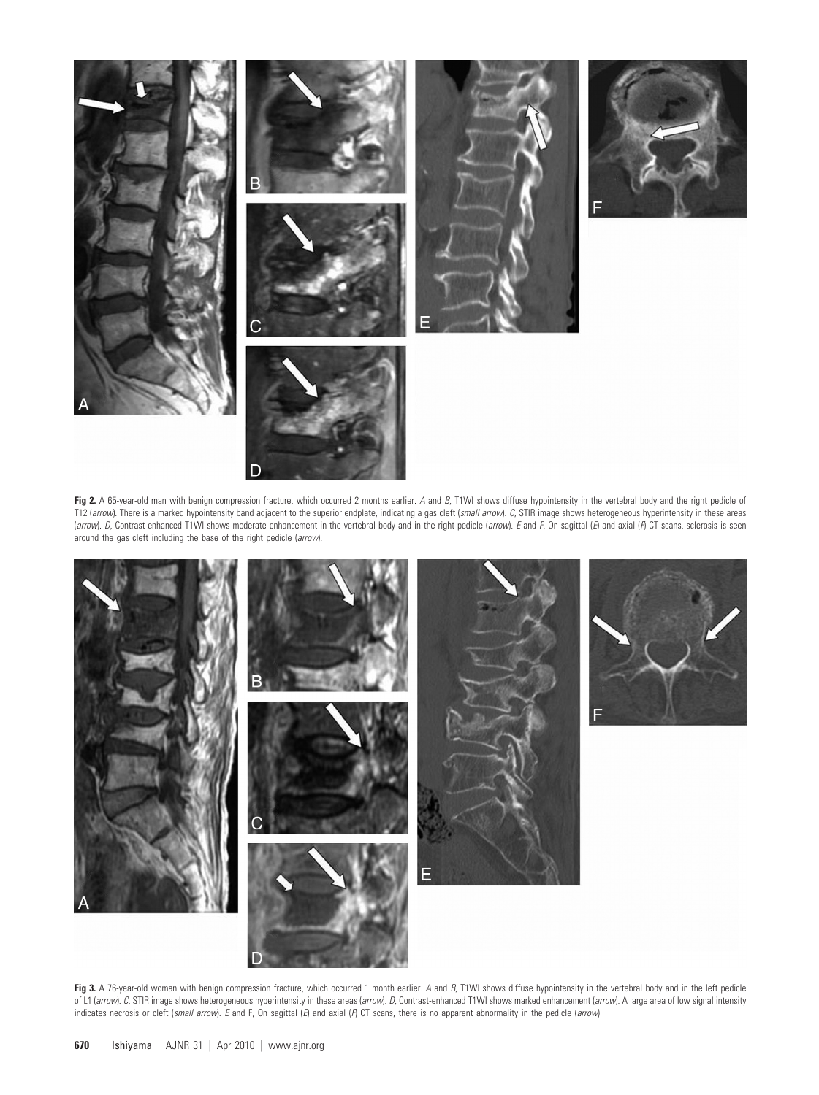

Fig 2. A 65-year-old man with benign compression fracture, which occurred 2 months earlier. A and B, T1WI shows diffuse hypointensity in the vertebral body and the right pedicle of T12 (*arrow*). There is a marked hypointensity band adjacent to the superior endplate, indicating a gas cleft (*small arrow*). *C*, STIR image shows heterogeneous hyperintensity in these areas (arrow). D, Contrast-enhanced T1WI shows moderate enhancement in the vertebral body and in the right pedicle (arrow). E and F, On sagittal (E) and axial (F) CT scans, sclerosis is seen around the gas cleft including the base of the right pedicle (*arrow*).



Fig 3. A 76-year-old woman with benign compression fracture, which occurred 1 month earlier. A and *B*, T1WI shows diffuse hypointensity in the vertebral body and in the left pedicle of L1 (*arrow*). *C*, STIR image shows heterogeneous hyperintensity in these areas (*arrow*). *D*, Contrast-enhanced T1WI shows marked enhancement (*arrow*). A large area of low signal intensity indicates necrosis or cleft (*small arrow*). *E* and F, On sagittal (*E*) and axial (*F*) CT scans, there is no apparent abnormality in the pedicle (*arrow*).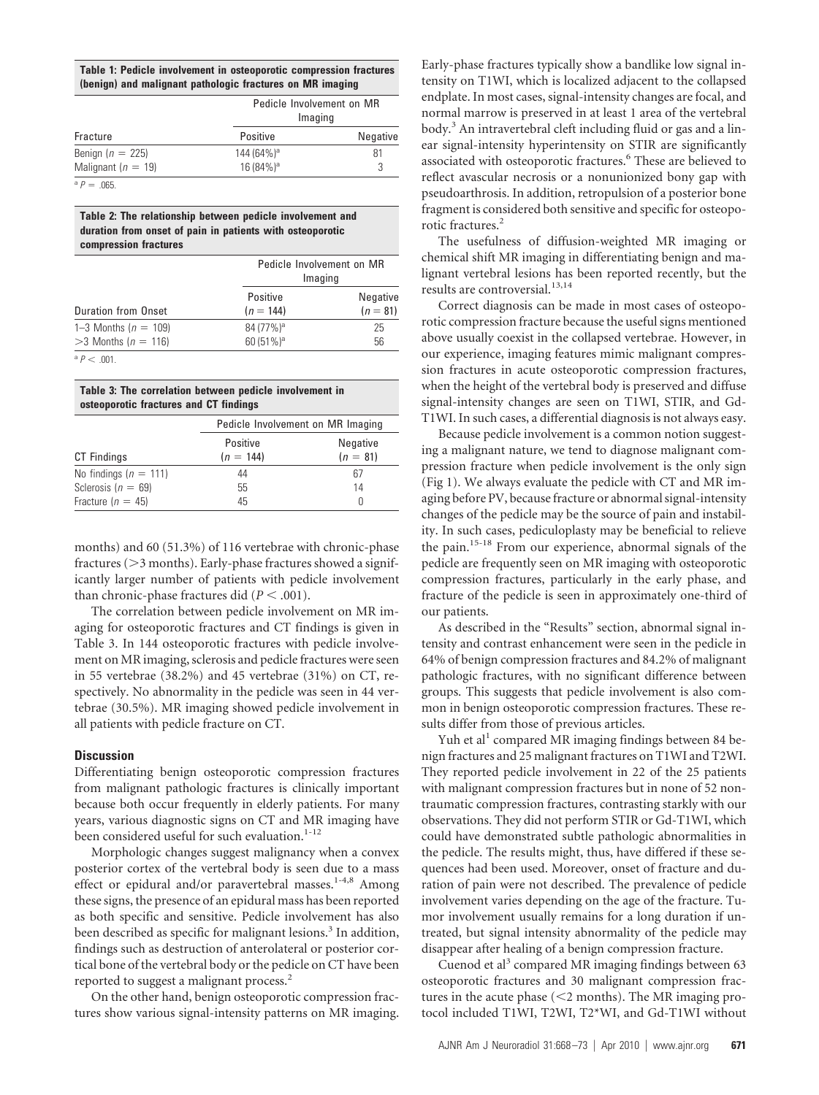#### **Table 1: Pedicle involvement in osteoporotic compression fractures (benign) and malignant pathologic fractures on MR imaging**

| Fracture               | Pedicle Involvement on MR<br>Imaging |          |
|------------------------|--------------------------------------|----------|
|                        | Positive                             | Negative |
| Benign $(n = 225)$     | 144 (64%) <sup>a</sup>               | 81       |
| Malignant ( $n = 19$ ) | 16 (84%) <sup>a</sup>                |          |
| $P = 0.065$ .          |                                      |          |

# **Table 2: The relationship between pedicle involvement and duration from onset of pain in patients with osteoporotic compression fractures**

| <b>Duration from Onset</b> | Pedicle Involvement on MR<br>Imaging |                        |
|----------------------------|--------------------------------------|------------------------|
|                            | Positive<br>$(n = 144)$              | Negative<br>$(n = 81)$ |
| 1–3 Months ( $n = 109$ )   | 84 (77%) <sup>a</sup>                | 25                     |
| $>3$ Months ( $n = 116$ )  | 60 $(51\%)^a$                        | 56                     |
| $^{\circ}P<.001$ .         |                                      |                        |

| Table 3: The correlation between pedicle involvement in<br>osteoporotic fractures and CT findings |                                   |                               |  |  |
|---------------------------------------------------------------------------------------------------|-----------------------------------|-------------------------------|--|--|
|                                                                                                   | Pedicle Involvement on MR Imaging |                               |  |  |
| CT Findings                                                                                       | Positive<br>$(n = 144)$           | <b>Negative</b><br>$(n = 81)$ |  |  |
| No findings ( $n = 111$ )                                                                         | 44                                | 67                            |  |  |
| Sclerosis ( $n = 69$ )                                                                            | 55                                | 14                            |  |  |
| Fracture $(n = 45)$                                                                               | 45                                | 0                             |  |  |

months) and 60 (51.3%) of 116 vertebrae with chronic-phase fractures (>3 months). Early-phase fractures showed a significantly larger number of patients with pedicle involvement than chronic-phase fractures did ( $P < .001$ ).

The correlation between pedicle involvement on MR imaging for osteoporotic fractures and CT findings is given in Table 3. In 144 osteoporotic fractures with pedicle involvement on MR imaging, sclerosis and pedicle fractures were seen in 55 vertebrae (38.2%) and 45 vertebrae (31%) on CT, respectively. No abnormality in the pedicle was seen in 44 vertebrae (30.5%). MR imaging showed pedicle involvement in all patients with pedicle fracture on CT.

# **Discussion**

Differentiating benign osteoporotic compression fractures from malignant pathologic fractures is clinically important because both occur frequently in elderly patients. For many years, various diagnostic signs on CT and MR imaging have been considered useful for such evaluation.<sup>1-12</sup>

Morphologic changes suggest malignancy when a convex posterior cortex of the vertebral body is seen due to a mass effect or epidural and/or paravertebral masses.<sup>1-4,8</sup> Among these signs, the presence of an epidural mass has been reported as both specific and sensitive. Pedicle involvement has also been described as specific for malignant lesions.<sup>3</sup> In addition, findings such as destruction of anterolateral or posterior cortical bone of the vertebral body or the pedicle on CT have been reported to suggest a malignant process.<sup>2</sup>

On the other hand, benign osteoporotic compression fractures show various signal-intensity patterns on MR imaging. Early-phase fractures typically show a bandlike low signal intensity on T1WI, which is localized adjacent to the collapsed endplate. In most cases, signal-intensity changes are focal, and normal marrow is preserved in at least 1 area of the vertebral body.<sup>3</sup> An intravertebral cleft including fluid or gas and a linear signal-intensity hyperintensity on STIR are significantly associated with osteoporotic fractures.<sup>6</sup> These are believed to reflect avascular necrosis or a nonunionized bony gap with pseudoarthrosis. In addition, retropulsion of a posterior bone fragment is considered both sensitive and specific for osteoporotic fractures.<sup>2</sup>

The usefulness of diffusion-weighted MR imaging or chemical shift MR imaging in differentiating benign and malignant vertebral lesions has been reported recently, but the results are controversial.<sup>13,14</sup>

Correct diagnosis can be made in most cases of osteoporotic compression fracture because the useful signs mentioned above usually coexist in the collapsed vertebrae. However, in our experience, imaging features mimic malignant compression fractures in acute osteoporotic compression fractures, when the height of the vertebral body is preserved and diffuse signal-intensity changes are seen on T1WI, STIR, and Gd-T1WI. In such cases, a differential diagnosis is not always easy.

Because pedicle involvement is a common notion suggesting a malignant nature, we tend to diagnose malignant compression fracture when pedicle involvement is the only sign (Fig 1). We always evaluate the pedicle with CT and MR imaging before PV, because fracture or abnormal signal-intensity changes of the pedicle may be the source of pain and instability. In such cases, pediculoplasty may be beneficial to relieve the pain.15-18 From our experience, abnormal signals of the pedicle are frequently seen on MR imaging with osteoporotic compression fractures, particularly in the early phase, and fracture of the pedicle is seen in approximately one-third of our patients.

As described in the "Results" section, abnormal signal intensity and contrast enhancement were seen in the pedicle in 64% of benign compression fractures and 84.2% of malignant pathologic fractures, with no significant difference between groups. This suggests that pedicle involvement is also common in benign osteoporotic compression fractures. These results differ from those of previous articles.

Yuh et al<sup>1</sup> compared MR imaging findings between 84 benign fractures and 25 malignant fractures on T1WI and T2WI. They reported pedicle involvement in 22 of the 25 patients with malignant compression fractures but in none of 52 nontraumatic compression fractures, contrasting starkly with our observations. They did not perform STIR or Gd-T1WI, which could have demonstrated subtle pathologic abnormalities in the pedicle. The results might, thus, have differed if these sequences had been used. Moreover, onset of fracture and duration of pain were not described. The prevalence of pedicle involvement varies depending on the age of the fracture. Tumor involvement usually remains for a long duration if untreated, but signal intensity abnormality of the pedicle may disappear after healing of a benign compression fracture.

Cuenod et al<sup>3</sup> compared MR imaging findings between 63 osteoporotic fractures and 30 malignant compression fractures in the acute phase  $(< 2$  months). The MR imaging protocol included T1WI, T2WI, T2\*WI, and Gd-T1WI without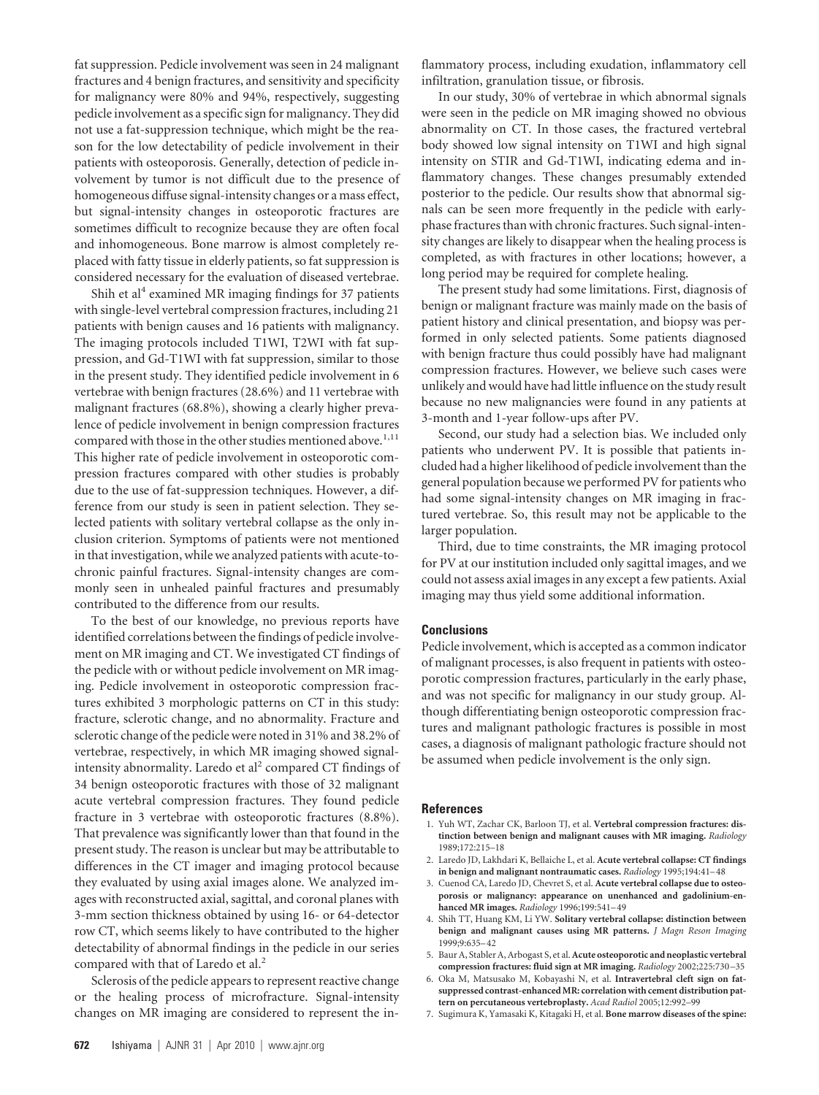fat suppression. Pedicle involvement was seen in 24 malignant fractures and 4 benign fractures, and sensitivity and specificity for malignancy were 80% and 94%, respectively, suggesting pedicle involvement as a specific sign for malignancy. They did not use a fat-suppression technique, which might be the reason for the low detectability of pedicle involvement in their patients with osteoporosis. Generally, detection of pedicle involvement by tumor is not difficult due to the presence of homogeneous diffuse signal-intensity changes or a mass effect, but signal-intensity changes in osteoporotic fractures are sometimes difficult to recognize because they are often focal and inhomogeneous. Bone marrow is almost completely replaced with fatty tissue in elderly patients, so fat suppression is considered necessary for the evaluation of diseased vertebrae.

Shih et al<sup>4</sup> examined MR imaging findings for 37 patients with single-level vertebral compression fractures, including 21 patients with benign causes and 16 patients with malignancy. The imaging protocols included T1WI, T2WI with fat suppression, and Gd-T1WI with fat suppression, similar to those in the present study. They identified pedicle involvement in 6 vertebrae with benign fractures (28.6%) and 11 vertebrae with malignant fractures (68.8%), showing a clearly higher prevalence of pedicle involvement in benign compression fractures compared with those in the other studies mentioned above.<sup>1,11</sup> This higher rate of pedicle involvement in osteoporotic compression fractures compared with other studies is probably due to the use of fat-suppression techniques. However, a difference from our study is seen in patient selection. They selected patients with solitary vertebral collapse as the only inclusion criterion. Symptoms of patients were not mentioned in that investigation, while we analyzed patients with acute-tochronic painful fractures. Signal-intensity changes are commonly seen in unhealed painful fractures and presumably contributed to the difference from our results.

To the best of our knowledge, no previous reports have identified correlations between the findings of pedicle involvement on MR imaging and CT. We investigated CT findings of the pedicle with or without pedicle involvement on MR imaging. Pedicle involvement in osteoporotic compression fractures exhibited 3 morphologic patterns on CT in this study: fracture, sclerotic change, and no abnormality. Fracture and sclerotic change of the pedicle were noted in 31% and 38.2% of vertebrae, respectively, in which MR imaging showed signalintensity abnormality. Laredo et  $al^2$  compared CT findings of 34 benign osteoporotic fractures with those of 32 malignant acute vertebral compression fractures. They found pedicle fracture in 3 vertebrae with osteoporotic fractures (8.8%). That prevalence was significantly lower than that found in the present study. The reason is unclear but may be attributable to differences in the CT imager and imaging protocol because they evaluated by using axial images alone. We analyzed images with reconstructed axial, sagittal, and coronal planes with 3-mm section thickness obtained by using 16- or 64-detector row CT, which seems likely to have contributed to the higher detectability of abnormal findings in the pedicle in our series compared with that of Laredo et al.<sup>2</sup>

Sclerosis of the pedicle appears to represent reactive change or the healing process of microfracture. Signal-intensity changes on MR imaging are considered to represent the in-

**672** Ishiyama | AJNR 31 | Apr 2010 | www.ajnr.org

flammatory process, including exudation, inflammatory cell infiltration, granulation tissue, or fibrosis.

In our study, 30% of vertebrae in which abnormal signals were seen in the pedicle on MR imaging showed no obvious abnormality on CT. In those cases, the fractured vertebral body showed low signal intensity on T1WI and high signal intensity on STIR and Gd-T1WI, indicating edema and inflammatory changes. These changes presumably extended posterior to the pedicle. Our results show that abnormal signals can be seen more frequently in the pedicle with earlyphase fractures than with chronic fractures. Such signal-intensity changes are likely to disappear when the healing process is completed, as with fractures in other locations; however, a long period may be required for complete healing.

The present study had some limitations. First, diagnosis of benign or malignant fracture was mainly made on the basis of patient history and clinical presentation, and biopsy was performed in only selected patients. Some patients diagnosed with benign fracture thus could possibly have had malignant compression fractures. However, we believe such cases were unlikely and would have had little influence on the study result because no new malignancies were found in any patients at 3-month and 1-year follow-ups after PV.

Second, our study had a selection bias. We included only patients who underwent PV. It is possible that patients included had a higher likelihood of pedicle involvement than the general population because we performed PV for patients who had some signal-intensity changes on MR imaging in fractured vertebrae. So, this result may not be applicable to the larger population.

Third, due to time constraints, the MR imaging protocol for PV at our institution included only sagittal images, and we could not assess axial images in any except a few patients. Axial imaging may thus yield some additional information.

# **Conclusions**

Pedicle involvement, which is accepted as a common indicator of malignant processes, is also frequent in patients with osteoporotic compression fractures, particularly in the early phase, and was not specific for malignancy in our study group. Although differentiating benign osteoporotic compression fractures and malignant pathologic fractures is possible in most cases, a diagnosis of malignant pathologic fracture should not be assumed when pedicle involvement is the only sign.

# **References**

- 1. Yuh WT, Zachar CK, Barloon TJ, et al. **Vertebral compression fractures: distinction between benign and malignant causes with MR imaging.** *Radiology* 1989;172:215–18
- 2. Laredo JD, Lakhdari K, Bellaiche L, et al. **Acute vertebral collapse: CT findings in benign and malignant nontraumatic cases.** *Radiology* 1995;194:41–48
- 3. Cuenod CA, Laredo JD, Chevret S, et al. **Acute vertebral collapse due to osteoporosis or malignancy: appearance on unenhanced and gadolinium-enhanced MR images.** *Radiology* 1996;199:541–49
- 4. Shih TT, Huang KM, Li YW. **Solitary vertebral collapse: distinction between benign and malignant causes using MR patterns.** *J Magn Reson Imaging* 1999;9:635–42
- 5. Baur A, Stabler A, Arbogast S, et al.**Acute osteoporotic and neoplastic vertebral compression fractures: fluid sign at MR imaging.** *Radiology* 2002;225:730 –35
- 6. Oka M, Matsusako M, Kobayashi N, et al. **Intravertebral cleft sign on fatsuppressed contrast-enhanced MR: correlation with cement distribution pattern on percutaneous vertebroplasty.** *Acad Radiol* 2005;12:992–99
- 7. Sugimura K, Yamasaki K, Kitagaki H, et al. **Bone marrow diseases of the spine:**